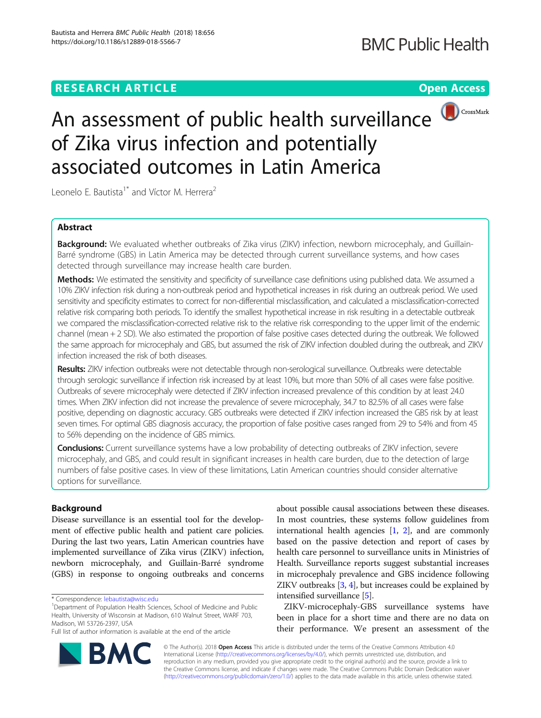

# An assessment of public health surveillance of Zika virus infection and potentially associated outcomes in Latin America

Leonelo E. Bautista<sup>1\*</sup> and Víctor M. Herrera<sup>2</sup>

# Abstract

Background: We evaluated whether outbreaks of Zika virus (ZIKV) infection, newborn microcephaly, and Guillain-Barré syndrome (GBS) in Latin America may be detected through current surveillance systems, and how cases detected through surveillance may increase health care burden.

Methods: We estimated the sensitivity and specificity of surveillance case definitions using published data. We assumed a 10% ZIKV infection risk during a non-outbreak period and hypothetical increases in risk during an outbreak period. We used sensitivity and specificity estimates to correct for non-differential misclassification, and calculated a misclassification-corrected relative risk comparing both periods. To identify the smallest hypothetical increase in risk resulting in a detectable outbreak we compared the misclassification-corrected relative risk to the relative risk corresponding to the upper limit of the endemic channel (mean + 2 SD). We also estimated the proportion of false positive cases detected during the outbreak. We followed the same approach for microcephaly and GBS, but assumed the risk of ZIKV infection doubled during the outbreak, and ZIKV infection increased the risk of both diseases.

Results: ZIKV infection outbreaks were not detectable through non-serological surveillance. Outbreaks were detectable through serologic surveillance if infection risk increased by at least 10%, but more than 50% of all cases were false positive. Outbreaks of severe microcephaly were detected if ZIKV infection increased prevalence of this condition by at least 24.0 times. When ZIKV infection did not increase the prevalence of severe microcephaly, 34.7 to 82.5% of all cases were false positive, depending on diagnostic accuracy. GBS outbreaks were detected if ZIKV infection increased the GBS risk by at least seven times. For optimal GBS diagnosis accuracy, the proportion of false positive cases ranged from 29 to 54% and from 45 to 56% depending on the incidence of GBS mimics.

Conclusions: Current surveillance systems have a low probability of detecting outbreaks of ZIKV infection, severe microcephaly, and GBS, and could result in significant increases in health care burden, due to the detection of large numbers of false positive cases. In view of these limitations, Latin American countries should consider alternative options for surveillance.

# Background

Disease surveillance is an essential tool for the development of effective public health and patient care policies. During the last two years, Latin American countries have implemented surveillance of Zika virus (ZIKV) infection, newborn microcephaly, and Guillain-Barré syndrome (GBS) in response to ongoing outbreaks and concerns



ZIKV-microcephaly-GBS surveillance systems have been in place for a short time and there are no data on their performance. We present an assessment of the

© The Author(s). 2018 Open Access This article is distributed under the terms of the Creative Commons Attribution 4.0 International License [\(http://creativecommons.org/licenses/by/4.0/](http://creativecommons.org/licenses/by/4.0/)), which permits unrestricted use, distribution, and reproduction in any medium, provided you give appropriate credit to the original author(s) and the source, provide a link to the Creative Commons license, and indicate if changes were made. The Creative Commons Public Domain Dedication waiver [\(http://creativecommons.org/publicdomain/zero/1.0/](http://creativecommons.org/publicdomain/zero/1.0/)) applies to the data made available in this article, unless otherwise stated.



<sup>\*</sup> Correspondence: [lebautista@wisc.edu](mailto:lebautista@wisc.edu) <sup>1</sup>

<sup>&</sup>lt;sup>1</sup>Department of Population Health Sciences, School of Medicine and Public Health, University of Wisconsin at Madison, 610 Walnut Street, WARF 703, Madison, WI 53726-2397, USA

Full list of author information is available at the end of the article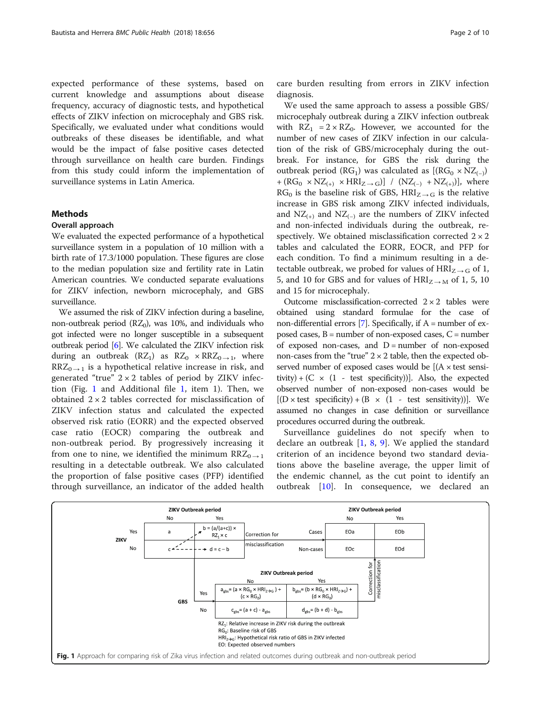expected performance of these systems, based on current knowledge and assumptions about disease frequency, accuracy of diagnostic tests, and hypothetical effects of ZIKV infection on microcephaly and GBS risk. Specifically, we evaluated under what conditions would outbreaks of these diseases be identifiable, and what would be the impact of false positive cases detected through surveillance on health care burden. Findings from this study could inform the implementation of surveillance systems in Latin America.

# Methods

## Overall approach

We evaluated the expected performance of a hypothetical surveillance system in a population of 10 million with a birth rate of 17.3/1000 population. These figures are close to the median population size and fertility rate in Latin American countries. We conducted separate evaluations for ZIKV infection, newborn microcephaly, and GBS surveillance.

We assumed the risk of ZIKV infection during a baseline, non-outbreak period ( $RZ_0$ ), was 10%, and individuals who got infected were no longer susceptible in a subsequent outbreak period [[6](#page-8-0)]. We calculated the ZIKV infection risk during an outbreak (RZ<sub>1</sub>) as RZ<sub>0</sub>  $\times$  RRZ<sub>0  $\rightarrow$  1</sub>, where  $RRZ<sub>0 \rightarrow 1</sub>$  is a hypothetical relative increase in risk, and generated "true"  $2 \times 2$  tables of period by ZIKV infection (Fig. 1 and Additional file [1,](#page-7-0) item 1). Then, we obtained  $2 \times 2$  tables corrected for misclassification of ZIKV infection status and calculated the expected observed risk ratio (EORR) and the expected observed case ratio (EOCR) comparing the outbreak and non-outbreak period. By progressively increasing it from one to nine, we identified the minimum  $RRZ_{0\rightarrow 1}$ resulting in a detectable outbreak. We also calculated the proportion of false positive cases (PFP) identified through surveillance, an indicator of the added health care burden resulting from errors in ZIKV infection diagnosis.

We used the same approach to assess a possible GBS/ microcephaly outbreak during a ZIKV infection outbreak with  $RZ_1 = 2 \times RZ_0$ . However, we accounted for the number of new cases of ZIKV infection in our calculation of the risk of GBS/microcephaly during the outbreak. For instance, for GBS the risk during the outbreak period (RG<sub>1</sub>) was calculated as  $[(RG_0 \times NZ_{(-)})$ + (RG<sub>0</sub> × NZ<sub>(+)</sub> × HRI<sub>Z→G</sub>)] / (NZ<sub>(-)</sub> + NZ<sub>(+)</sub>)], where  $RG<sub>0</sub>$  is the baseline risk of GBS,  $HRI<sub>Z→G</sub>$  is the relative increase in GBS risk among ZIKV infected individuals, and  $NZ_{(+)}$  and  $NZ_{(-)}$  are the numbers of ZIKV infected and non-infected individuals during the outbreak, respectively. We obtained misclassification corrected  $2 \times 2$ tables and calculated the EORR, EOCR, and PFP for each condition. To find a minimum resulting in a detectable outbreak, we probed for values of  $HRI_{Z\rightarrow G}$  of 1, 5, and 10 for GBS and for values of  $HRI_{Z\rightarrow M}$  of 1, 5, 10 and 15 for microcephaly.

Outcome misclassification-corrected  $2 \times 2$  tables were obtained using standard formulae for the case of non-differential errors [\[7\]](#page-8-0). Specifically, if  $A =$  number of exposed cases,  $B =$  number of non-exposed cases,  $C =$  number of exposed non-cases, and  $D =$  number of non-exposed non-cases from the "true"  $2 \times 2$  table, then the expected observed number of exposed cases would be  $[(A \times test \text{ sensi-}$ tivity) + ( $C \times (1 - \text{test specificity})$ ). Also, the expected observed number of non-exposed non-cases would be  $[(D \times test \text{ specificity}) + (B \times (1 - test \text{ sensitivity}))]$ . We assumed no changes in case definition or surveillance procedures occurred during the outbreak.

Surveillance guidelines do not specify when to declare an outbreak  $[1, 8, 9]$  $[1, 8, 9]$  $[1, 8, 9]$  $[1, 8, 9]$  $[1, 8, 9]$ . We applied the standard criterion of an incidence beyond two standard deviations above the baseline average, the upper limit of the endemic channel, as the cut point to identify an outbreak [\[10](#page-8-0)]. In consequence, we declared an

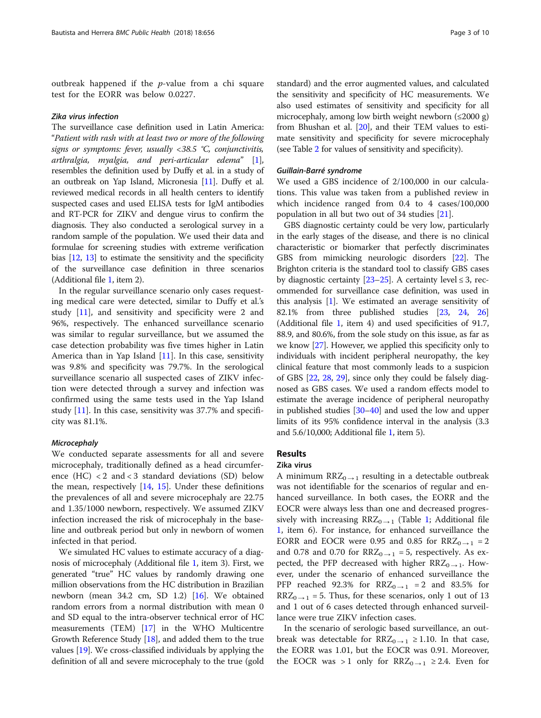outbreak happened if the  $p$ -value from a chi square test for the EORR was below 0.0227.

#### Zika virus infection

The surveillance case definition used in Latin America: "Patient with rash with at least two or more of the following signs or symptoms: fever, usually <38.5 °C, conjunctivitis, arthralgia, myalgia, and peri-articular edema" [[1](#page-8-0)], resembles the definition used by Duffy et al. in a study of an outbreak on Yap Island, Micronesia [\[11](#page-8-0)]. Duffy et al. reviewed medical records in all health centers to identify suspected cases and used ELISA tests for IgM antibodies and RT-PCR for ZIKV and dengue virus to confirm the diagnosis. They also conducted a serological survey in a random sample of the population. We used their data and formulae for screening studies with extreme verification bias [[12](#page-8-0), [13\]](#page-8-0) to estimate the sensitivity and the specificity of the surveillance case definition in three scenarios (Additional file [1,](#page-7-0) item 2).

In the regular surveillance scenario only cases requesting medical care were detected, similar to Duffy et al.'s study [\[11\]](#page-8-0), and sensitivity and specificity were 2 and 96%, respectively. The enhanced surveillance scenario was similar to regular surveillance, but we assumed the case detection probability was five times higher in Latin America than in Yap Island [\[11\]](#page-8-0). In this case, sensitivity was 9.8% and specificity was 79.7%. In the serological surveillance scenario all suspected cases of ZIKV infection were detected through a survey and infection was confirmed using the same tests used in the Yap Island study [[11\]](#page-8-0). In this case, sensitivity was 37.7% and specificity was 81.1%.

## **Microcephaly**

We conducted separate assessments for all and severe microcephaly, traditionally defined as a head circumference (HC) < 2 and < 3 standard deviations (SD) below the mean, respectively  $[14, 15]$  $[14, 15]$  $[14, 15]$ . Under these definitions the prevalences of all and severe microcephaly are 22.75 and 1.35/1000 newborn, respectively. We assumed ZIKV infection increased the risk of microcephaly in the baseline and outbreak period but only in newborn of women infected in that period.

We simulated HC values to estimate accuracy of a diagnosis of microcephaly (Additional file [1,](#page-7-0) item 3). First, we generated "true" HC values by randomly drawing one million observations from the HC distribution in Brazilian newborn (mean 34.2 cm, SD 1.2) [[16](#page-8-0)]. We obtained random errors from a normal distribution with mean 0 and SD equal to the intra-observer technical error of HC measurements (TEM) [[17](#page-8-0)] in the WHO Multicentre Growth Reference Study [\[18](#page-8-0)], and added them to the true values [[19](#page-8-0)]. We cross-classified individuals by applying the definition of all and severe microcephaly to the true (gold standard) and the error augmented values, and calculated the sensitivity and specificity of HC measurements. We also used estimates of sensitivity and specificity for all microcephaly, among low birth weight newborn  $(\leq 2000 \text{ g})$ from Bhushan et al. [[20\]](#page-8-0), and their TEM values to estimate sensitivity and specificity for severe microcephaly (see Table [2](#page-3-0) for values of sensitivity and specificity).

#### Guillain-Barré syndrome

We used a GBS incidence of 2/100,000 in our calculations. This value was taken from a published review in which incidence ranged from 0.4 to 4 cases/100,000 population in all but two out of 34 studies [\[21](#page-8-0)].

GBS diagnostic certainty could be very low, particularly in the early stages of the disease, and there is no clinical characteristic or biomarker that perfectly discriminates GBS from mimicking neurologic disorders [\[22\]](#page-8-0). The Brighton criteria is the standard tool to classify GBS cases by diagnostic certainty  $[23-25]$  $[23-25]$  $[23-25]$  $[23-25]$ . A certainty level  $\leq 3$ , recommended for surveillance case definition, was used in this analysis [\[1\]](#page-8-0). We estimated an average sensitivity of 82.1% from three published studies [[23](#page-8-0), [24](#page-8-0), [26](#page-8-0)] (Additional file [1](#page-7-0), item 4) and used specificities of 91.7, 88.9, and 80.6%, from the sole study on this issue, as far as we know [[27](#page-8-0)]. However, we applied this specificity only to individuals with incident peripheral neuropathy, the key clinical feature that most commonly leads to a suspicion of GBS [\[22,](#page-8-0) [28,](#page-8-0) [29\]](#page-8-0), since only they could be falsely diagnosed as GBS cases. We used a random effects model to estimate the average incidence of peripheral neuropathy in published studies [[30](#page-8-0)–[40](#page-8-0)] and used the low and upper limits of its 95% confidence interval in the analysis (3.3 and 5.6/10,000; Additional file [1,](#page-7-0) item 5).

# Results

# Zika virus

A minimum  $RRZ_{0\rightarrow 1}$  resulting in a detectable outbreak was not identifiable for the scenarios of regular and enhanced surveillance. In both cases, the EORR and the EOCR were always less than one and decreased progressively with increasing  $RRZ_{0\rightarrow 1}$  (Table [1;](#page-3-0) Additional file [1,](#page-7-0) item 6). For instance, for enhanced surveillance the EORR and EOCR were 0.95 and 0.85 for  $RRZ_{0\rightarrow 1} = 2$ and 0.78 and 0.70 for  $RRZ_{0\rightarrow 1} = 5$ , respectively. As expected, the PFP decreased with higher  $RRZ_{0\rightarrow 1}$ . However, under the scenario of enhanced surveillance the PFP reached 92.3% for  $RRZ_{0\rightarrow 1}$  = 2 and 83.5% for  $RRZ_{0\rightarrow 1} = 5$ . Thus, for these scenarios, only 1 out of 13 and 1 out of 6 cases detected through enhanced surveillance were true ZIKV infection cases.

In the scenario of serologic based surveillance, an outbreak was detectable for  $RRZ_{0\rightarrow 1} \ge 1.10$ . In that case, the EORR was 1.01, but the EOCR was 0.91. Moreover, the EOCR was > 1 only for  $RRZ_{0\rightarrow 1} \ge 2.4$ . Even for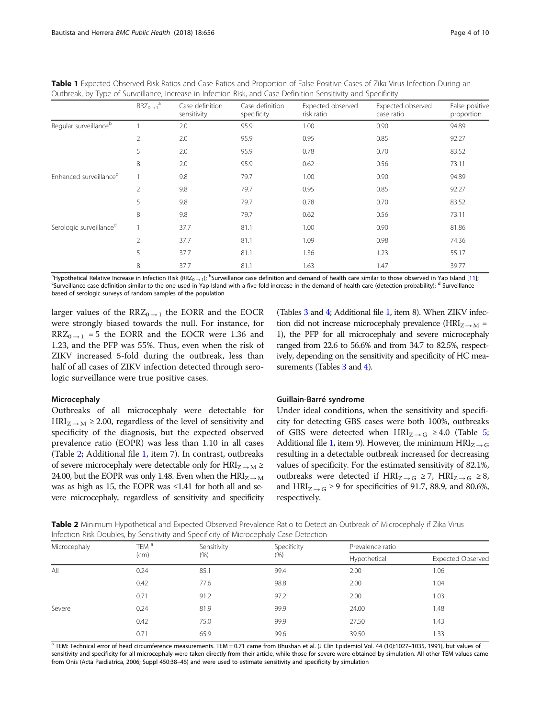<span id="page-3-0"></span>

|  |  |  |                                                                                                                |  |  | Table 1 Expected Observed Risk Ratios and Case Ratios and Proportion of False Positive Cases of Zika Virus Infection During an |  |
|--|--|--|----------------------------------------------------------------------------------------------------------------|--|--|--------------------------------------------------------------------------------------------------------------------------------|--|
|  |  |  | Outbreak, by Type of Surveillance, Increase in Infection Risk, and Case Definition Sensitivity and Specificity |  |  |                                                                                                                                |  |

|                                     | $RRZ_{0\rightarrow 1}^a$ | Case definition<br>sensitivity | Case definition<br>specificity | Expected observed<br>risk ratio | Expected observed<br>case ratio | False positive<br>proportion |
|-------------------------------------|--------------------------|--------------------------------|--------------------------------|---------------------------------|---------------------------------|------------------------------|
| Regular surveillance <sup>b</sup>   |                          | 2.0                            | 95.9                           | 1.00                            | 0.90                            | 94.89                        |
|                                     | 2                        | 2.0                            | 95.9                           | 0.95                            | 0.85                            | 92.27                        |
|                                     | 5                        | 2.0                            | 95.9                           | 0.78                            | 0.70                            | 83.52                        |
|                                     | 8                        | 2.0                            | 95.9                           | 0.62                            | 0.56                            | 73.11                        |
| Enhanced surveillance <sup>c</sup>  |                          | 9.8                            | 79.7                           | 1.00                            | 0.90                            | 94.89                        |
|                                     | $\overline{2}$           | 9.8                            | 79.7                           | 0.95                            | 0.85                            | 92.27                        |
|                                     | 5                        | 9.8                            | 79.7                           | 0.78                            | 0.70                            | 83.52                        |
|                                     | 8                        | 9.8                            | 79.7                           | 0.62                            | 0.56                            | 73.11                        |
| Serologic surveillance <sup>d</sup> |                          | 37.7                           | 81.1                           | 1.00                            | 0.90                            | 81.86                        |
|                                     | $\overline{2}$           | 37.7                           | 81.1                           | 1.09                            | 0.98                            | 74.36                        |
|                                     | 5                        | 37.7                           | 81.1                           | 1.36                            | 1.23                            | 55.17                        |
|                                     | 8                        | 37.7                           | 81.1                           | 1.63                            | 1.47                            | 39.77                        |

<sup>a</sup> Hypothetical Relative Increase in Infection Risk (RRZ<sub>0 → 1</sub>); <sup>b</sup>Surveillance case definition and demand of health care similar to those observed in Yap Island [[11\]](#page-8-0);<br><sup>CS</sup>urveillance case definition similar to the one <sup>c</sup>Surveillance case definition similar to the one used in Yap Island with a five-fold increase in the demand of health care (detection probability); <sup>d</sup> Surveillance based of serologic surveys of random samples of the population

larger values of the RRZ<sub>0 → 1</sub> the EORR and the EOCR were strongly biased towards the null. For instance, for  $RRZ_{0 \rightarrow 1}$  = 5 the EORR and the EOCR were 1.36 and 1.23, and the PFP was 55%. Thus, even when the risk of ZIKV increased 5-fold during the outbreak, less than half of all cases of ZIKV infection detected through serologic surveillance were true positive cases.

#### Microcephaly

Outbreaks of all microcephaly were detectable for  $HRI_{Z \rightarrow M} \geq 2.00$ , regardless of the level of sensitivity and specificity of the diagnosis, but the expected observed prevalence ratio (EOPR) was less than 1.10 in all cases (Table 2; Additional file [1](#page-7-0), item 7). In contrast, outbreaks of severe microcephaly were detectable only for  $HRI_{Z\rightarrow M} \geq$ 24.00, but the EOPR was only 1.48. Even when the  $HRI_{Z\rightarrow M}$ was as high as 15, the EOPR was ≤1.41 for both all and severe microcephaly, regardless of sensitivity and specificity (Tables [3](#page-4-0) and [4](#page-4-0); Additional file [1](#page-7-0), item 8). When ZIKV infection did not increase microcephaly prevalence ( $HRI_{Z\rightarrow M}$  = 1), the PFP for all microcephaly and severe microcephaly ranged from 22.6 to 56.6% and from 34.7 to 82.5%, respectively, depending on the sensitivity and specificity of HC mea-surements (Tables [3](#page-4-0) and [4](#page-4-0)).

#### Guillain-Barré syndrome

Under ideal conditions, when the sensitivity and specificity for detecting GBS cases were both 100%, outbreaks of GBS were detected when  $HRI_{Z\rightarrow G} \geq 4.0$  (Table [5](#page-5-0); Additional file [1](#page-7-0), item 9). However, the minimum  $HRI_{Z\rightarrow G}$ resulting in a detectable outbreak increased for decreasing values of specificity. For the estimated sensitivity of 82.1%, outbreaks were detected if  $HRI_{Z\rightarrow G} \geq 7$ ,  $HRI_{Z\rightarrow G} \geq 8$ , and  $HRI_{Z\rightarrow G} \geq 9$  for specificities of 91.7, 88.9, and 80.6%, respectively.

Table 2 Minimum Hypothetical and Expected Observed Prevalence Ratio to Detect an Outbreak of Microcephaly if Zika Virus Infection Risk Doubles, by Sensitivity and Specificity of Microcephaly Case Detection

| Microcephaly | TEM <sup>a</sup> | Sensitivity | Specificity | Prevalence ratio |                          |  |  |
|--------------|------------------|-------------|-------------|------------------|--------------------------|--|--|
|              | (cm)             | (% )        | (% )        | Hypothetical     | <b>Expected Observed</b> |  |  |
| All          | 0.24             | 85.1        | 99.4        | 2.00             | 1.06                     |  |  |
|              | 0.42             | 77.6        | 98.8        | 2.00             | 1.04                     |  |  |
|              | 0.71             | 91.2        | 97.2        | 2.00             | 1.03                     |  |  |
| Severe       | 0.24             | 81.9        | 99.9        | 24.00            | 1.48                     |  |  |
|              | 0.42             | 75.0        | 99.9        | 27.50            | 1.43                     |  |  |
|              | 0.71             | 65.9        | 99.6        | 39.50            | 1.33                     |  |  |

<sup>a</sup> TEM: Technical error of head circumference measurements. TEM = 0.71 came from Bhushan et al. (J Clin Epidemiol Vol. 44 (10):1027-1035, 1991), but values of sensitivity and specificity for all microcephaly were taken directly from their article, while those for severe were obtained by simulation. All other TEM values came from Onis (Acta Pædiatrica, 2006; Suppl 450:38–46) and were used to estimate sensitivity and specificity by simulation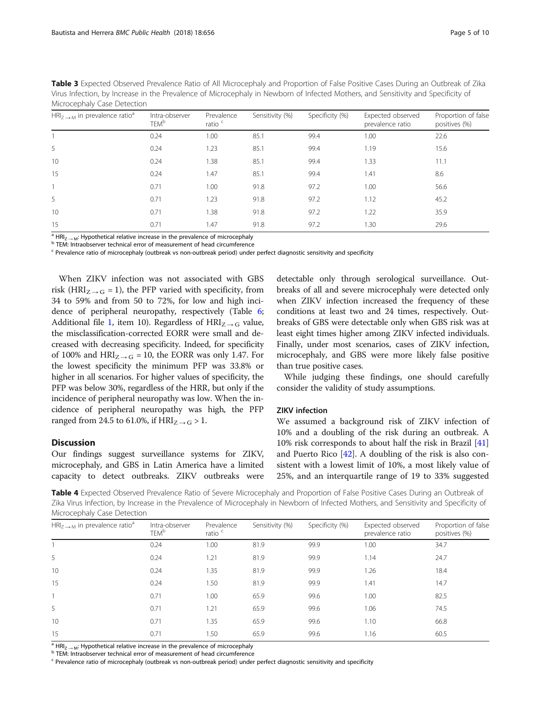<span id="page-4-0"></span>

| Table 3 Expected Observed Prevalence Ratio of All Microcephaly and Proportion of False Positive Cases During an Outbreak of Zika  |
|-----------------------------------------------------------------------------------------------------------------------------------|
| Virus Infection, by Increase in the Prevalence of Microcephaly in Newborn of Infected Mothers, and Sensitivity and Specificity of |
| Microcephaly Case Detection                                                                                                       |

| $HRI_{7\rightarrow M}$ in prevalence ratio <sup>a</sup> | Intra-observer<br>TEM <sup>b</sup> | Prevalence<br>ratio <sup>c</sup> | Sensitivity (%) | Specificity (%) | Expected observed<br>prevalence ratio | Proportion of false<br>positives (%) |
|---------------------------------------------------------|------------------------------------|----------------------------------|-----------------|-----------------|---------------------------------------|--------------------------------------|
|                                                         | 0.24                               | 1.00                             | 85.1            | 99.4            | 1.00                                  | 22.6                                 |
| 5                                                       | 0.24                               | 1.23                             | 85.1            | 99.4            | 1.19                                  | 15.6                                 |
| 10                                                      | 0.24                               | 1.38                             | 85.1            | 99.4            | 1.33                                  | 11.1                                 |
| 15                                                      | 0.24                               | 1.47                             | 85.1            | 99.4            | 1.41                                  | 8.6                                  |
|                                                         | 0.71                               | 1.00                             | 91.8            | 97.2            | 1.00                                  | 56.6                                 |
| 5                                                       | 0.71                               | 1.23                             | 91.8            | 97.2            | 1.12                                  | 45.2                                 |
| 10                                                      | 0.71                               | 1.38                             | 91.8            | 97.2            | 1.22                                  | 35.9                                 |
| 15                                                      | 0.71                               | 1.47                             | 91.8            | 97.2            | 1.30                                  | 29.6                                 |

<sup>a</sup> HRI<sub>Z → M</sub>: Hypothetical relative increase in the prevalence of microcephaly b TEM: Intraobserver technical error of measurement of head circumference

<sup>c</sup> Prevalence ratio of microcephaly (outbreak vs non-outbreak period) under perfect diagnostic sensitivity and specificity

When ZIKV infection was not associated with GBS risk (HRI<sub>Z → G</sub> = 1), the PFP varied with specificity, from 34 to 59% and from 50 to 72%, for low and high incidence of peripheral neuropathy, respectively (Table [6](#page-5-0); Additional file [1](#page-7-0), item 10). Regardless of  $HRI_{Z\rightarrow G}$  value, the misclassification-corrected EORR were small and decreased with decreasing specificity. Indeed, for specificity of 100% and  $HRI_{Z\rightarrow G} = 10$ , the EORR was only 1.47. For the lowest specificity the minimum PFP was 33.8% or higher in all scenarios. For higher values of specificity, the PFP was below 30%, regardless of the HRR, but only if the incidence of peripheral neuropathy was low. When the incidence of peripheral neuropathy was high, the PFP ranged from 24.5 to 61.0%, if  $HRI_{Z\rightarrow G} > 1$ .

# **Discussion**

Our findings suggest surveillance systems for ZIKV, microcephaly, and GBS in Latin America have a limited capacity to detect outbreaks. ZIKV outbreaks were

detectable only through serological surveillance. Outbreaks of all and severe microcephaly were detected only when ZIKV infection increased the frequency of these conditions at least two and 24 times, respectively. Outbreaks of GBS were detectable only when GBS risk was at least eight times higher among ZIKV infected individuals. Finally, under most scenarios, cases of ZIKV infection, microcephaly, and GBS were more likely false positive than true positive cases.

While judging these findings, one should carefully consider the validity of study assumptions.

# ZIKV infection

We assumed a background risk of ZIKV infection of 10% and a doubling of the risk during an outbreak. A 10% risk corresponds to about half the risk in Brazil [[41](#page-8-0)] and Puerto Rico [[42\]](#page-8-0). A doubling of the risk is also consistent with a lowest limit of 10%, a most likely value of 25%, and an interquartile range of 19 to 33% suggested

Table 4 Expected Observed Prevalence Ratio of Severe Microcephaly and Proportion of False Positive Cases During an Outbreak of Zika Virus Infection, by Increase in the Prevalence of Microcephaly in Newborn of Infected Mothers, and Sensitivity and Specificity of Microcephaly Case Detection

| $HRI_{7\rightarrow M}$ in prevalence ratio <sup>a</sup> | Intra-observer<br><b>TEM<sup>b</sup></b> | Prevalence<br>ratio $\degree$ | Sensitivity (%) | Specificity (%) | Expected observed<br>prevalence ratio | Proportion of false<br>positives (%) |
|---------------------------------------------------------|------------------------------------------|-------------------------------|-----------------|-----------------|---------------------------------------|--------------------------------------|
|                                                         | 0.24                                     | 1.00                          | 81.9            | 99.9            | 1.00                                  | 34.7                                 |
| 5                                                       | 0.24                                     | 1.21                          | 81.9            | 99.9            | 1.14                                  | 24.7                                 |
| 10                                                      | 0.24                                     | 1.35                          | 81.9            | 99.9            | 1.26                                  | 18.4                                 |
| 15                                                      | 0.24                                     | 1.50                          | 81.9            | 99.9            | 1.41                                  | 14.7                                 |
|                                                         | 0.71                                     | 1.00                          | 65.9            | 99.6            | 1.00                                  | 82.5                                 |
| 5                                                       | 0.71                                     | 1.21                          | 65.9            | 99.6            | 1.06                                  | 74.5                                 |
| 10                                                      | 0.71                                     | 1.35                          | 65.9            | 99.6            | 1.10                                  | 66.8                                 |
| 15                                                      | 0.71                                     | 1.50                          | 65.9            | 99.6            | 1.16                                  | 60.5                                 |

<sup>a</sup> HRI<sub>Z → M</sub>: Hypothetical relative increase in the prevalence of microcephaly b TEM: Intraobserver technical error of measurement of head circumference

 $\epsilon$  Prevalence ratio of microcephaly (outbreak vs non-outbreak period) under perfect diagnostic sensitivity and specificity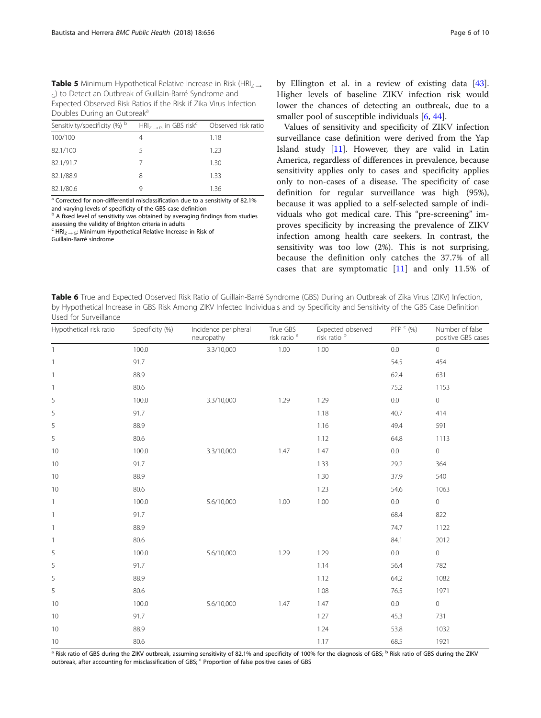<span id="page-5-0"></span>**Table 5** Minimum Hypothetical Relative Increase in Risk (HRI $_7$   $\rightarrow$ G) to Detect an Outbreak of Guillain-Barré Syndrome and Expected Observed Risk Ratios if the Risk if Zika Virus Infection Doubles During an Outbreak<sup>a</sup>

| Sensitivity/specificity (%) <sup>b</sup> | $HRI_7 \rightarrow G$ in GBS risk Observed risk ratio |      |
|------------------------------------------|-------------------------------------------------------|------|
| 100/100                                  |                                                       | 1.18 |
| 82.1/100                                 | 5                                                     | 1.23 |
| 82.1/91.7                                |                                                       | 1.30 |
| 82.1/88.9                                | 8                                                     | 1.33 |
| 82.1/80.6                                |                                                       | 1.36 |

<sup>a</sup> Corrected for non-differential misclassification due to a sensitivity of 82.1% and varying levels of specificity of the GBS case definition

b A fixed level of sensitivity was obtained by averaging findings from studies assessing the validity of Brighton criteria in adults

 $c$  HRI<sub>Z → G</sub>: Minimum Hypothetical Relative Increase in Risk of

Guillain-Barré síndrome

by Ellington et al. in a review of existing data [\[43](#page-8-0)]. Higher levels of baseline ZIKV infection risk would lower the chances of detecting an outbreak, due to a smaller pool of susceptible individuals [[6,](#page-8-0) [44\]](#page-8-0).

Values of sensitivity and specificity of ZIKV infection surveillance case definition were derived from the Yap Island study [[11](#page-8-0)]. However, they are valid in Latin America, regardless of differences in prevalence, because sensitivity applies only to cases and specificity applies only to non-cases of a disease. The specificity of case definition for regular surveillance was high (95%), because it was applied to a self-selected sample of individuals who got medical care. This "pre-screening" improves specificity by increasing the prevalence of ZIKV infection among health care seekers. In contrast, the sensitivity was too low (2%). This is not surprising, because the definition only catches the 37.7% of all cases that are symptomatic [[11\]](#page-8-0) and only 11.5% of

Table 6 True and Expected Observed Risk Ratio of Guillain-Barré Syndrome (GBS) During an Outbreak of Zika Virus (ZIKV) Infection, by Hypothetical Increase in GBS Risk Among ZIKV Infected Individuals and by Specificity and Sensitivity of the GBS Case Definition Used for Surveillance

| Hypothetical risk ratio  | Specificity (%) | Incidence peripheral<br>neuropathy | True GBS<br>risk ratio <sup>a</sup> | Expected observed<br>risk ratio <sup>b</sup> | PFP <sup>c</sup> (%) | Number of false<br>positive GBS cases |
|--------------------------|-----------------|------------------------------------|-------------------------------------|----------------------------------------------|----------------------|---------------------------------------|
| $\overline{1}$           | 100.0           | 3.3/10,000                         | 1.00                                | $1.00\,$                                     | 0.0                  | $\circ$                               |
| $\overline{1}$           | 91.7            |                                    |                                     |                                              | 54.5                 | 454                                   |
| $\overline{1}$           | 88.9            |                                    |                                     |                                              | 62.4                 | 631                                   |
| $\overline{\phantom{a}}$ | 80.6            |                                    |                                     |                                              | 75.2                 | 1153                                  |
| 5                        | 100.0           | 3.3/10,000                         | 1.29                                | 1.29                                         | $0.0\,$              | $\mathsf{O}\xspace$                   |
| 5                        | 91.7            |                                    |                                     | 1.18                                         | 40.7                 | 414                                   |
| 5                        | 88.9            |                                    |                                     | 1.16                                         | 49.4                 | 591                                   |
| 5                        | 80.6            |                                    |                                     | 1.12                                         | 64.8                 | 1113                                  |
| 10                       | 100.0           | 3.3/10,000                         | 1.47                                | 1.47                                         | 0.0                  | 0                                     |
| 10                       | 91.7            |                                    |                                     | 1.33                                         | 29.2                 | 364                                   |
| 10                       | 88.9            |                                    |                                     | 1.30                                         | 37.9                 | 540                                   |
| 10                       | 80.6            |                                    |                                     | 1.23                                         | 54.6                 | 1063                                  |
| $\mathbf{1}$             | 100.0           | 5.6/10,000                         | 1.00                                | 1.00                                         | 0.0                  | $\circ$                               |
| $\overline{\phantom{a}}$ | 91.7            |                                    |                                     |                                              | 68.4                 | 822                                   |
| $\overline{\phantom{a}}$ | 88.9            |                                    |                                     |                                              | 74.7                 | 1122                                  |
| $\overline{1}$           | 80.6            |                                    |                                     |                                              | 84.1                 | 2012                                  |
| 5                        | 100.0           | 5.6/10,000                         | 1.29                                | 1.29                                         | $0.0\,$              | $\mathsf{O}\xspace$                   |
| 5                        | 91.7            |                                    |                                     | 1.14                                         | 56.4                 | 782                                   |
| 5                        | 88.9            |                                    |                                     | 1.12                                         | 64.2                 | 1082                                  |
| 5                        | 80.6            |                                    |                                     | 1.08                                         | 76.5                 | 1971                                  |
| 10                       | 100.0           | 5.6/10,000                         | 1.47                                | 1.47                                         | $0.0\,$              | $\mathsf{O}\xspace$                   |
| 10                       | 91.7            |                                    |                                     | 1.27                                         | 45.3                 | 731                                   |
| 10                       | 88.9            |                                    |                                     | 1.24                                         | 53.8                 | 1032                                  |
| 10                       | 80.6            |                                    |                                     | 1.17                                         | 68.5                 | 1921                                  |

<sup>a</sup> Risk ratio of GBS during the ZIKV outbreak, assuming sensitivity of 82.1% and specificity of 100% for the diagnosis of GBS; <sup>b</sup> Risk ratio of GBS during the ZIKV outbreak, after accounting for misclassification of GBS; <sup>c</sup> Proportion of false positive cases of GBS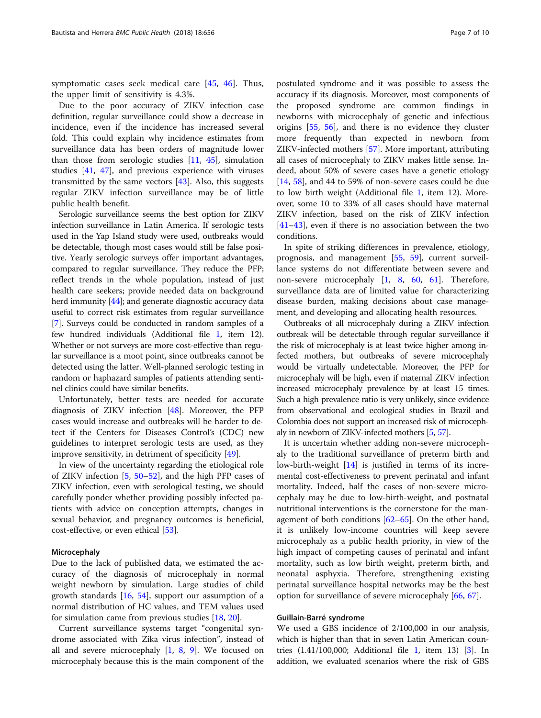symptomatic cases seek medical care [[45,](#page-8-0) [46](#page-8-0)]. Thus, the upper limit of sensitivity is 4.3%.

Due to the poor accuracy of ZIKV infection case definition, regular surveillance could show a decrease in incidence, even if the incidence has increased several fold. This could explain why incidence estimates from surveillance data has been orders of magnitude lower than those from serologic studies  $[11, 45]$  $[11, 45]$  $[11, 45]$  $[11, 45]$ , simulation studies [\[41](#page-8-0), [47](#page-8-0)], and previous experience with viruses transmitted by the same vectors [\[43](#page-8-0)]. Also, this suggests regular ZIKV infection surveillance may be of little public health benefit.

Serologic surveillance seems the best option for ZIKV infection surveillance in Latin America. If serologic tests used in the Yap Island study were used, outbreaks would be detectable, though most cases would still be false positive. Yearly serologic surveys offer important advantages, compared to regular surveillance. They reduce the PFP; reflect trends in the whole population, instead of just health care seekers; provide needed data on background herd immunity [\[44\]](#page-8-0); and generate diagnostic accuracy data useful to correct risk estimates from regular surveillance [[7\]](#page-8-0). Surveys could be conducted in random samples of a few hundred individuals (Additional file [1,](#page-7-0) item 12). Whether or not surveys are more cost-effective than regular surveillance is a moot point, since outbreaks cannot be detected using the latter. Well-planned serologic testing in random or haphazard samples of patients attending sentinel clinics could have similar benefits.

Unfortunately, better tests are needed for accurate diagnosis of ZIKV infection [\[48](#page-8-0)]. Moreover, the PFP cases would increase and outbreaks will be harder to detect if the Centers for Diseases Control's (CDC) new guidelines to interpret serologic tests are used, as they improve sensitivity, in detriment of specificity [\[49\]](#page-9-0).

In view of the uncertainty regarding the etiological role of ZIKV infection [\[5](#page-8-0), [50](#page-9-0)–[52](#page-9-0)], and the high PFP cases of ZIKV infection, even with serological testing, we should carefully ponder whether providing possibly infected patients with advice on conception attempts, changes in sexual behavior, and pregnancy outcomes is beneficial, cost-effective, or even ethical [[53](#page-9-0)].

#### Microcephaly

Due to the lack of published data, we estimated the accuracy of the diagnosis of microcephaly in normal weight newborn by simulation. Large studies of child growth standards [\[16](#page-8-0), [54](#page-9-0)], support our assumption of a normal distribution of HC values, and TEM values used for simulation came from previous studies [\[18](#page-8-0), [20](#page-8-0)].

Current surveillance systems target "congenital syndrome associated with Zika virus infection", instead of all and severe microcephaly  $[1, 8, 9]$  $[1, 8, 9]$  $[1, 8, 9]$  $[1, 8, 9]$  $[1, 8, 9]$  $[1, 8, 9]$ . We focused on microcephaly because this is the main component of the

postulated syndrome and it was possible to assess the accuracy if its diagnosis. Moreover, most components of the proposed syndrome are common findings in newborns with microcephaly of genetic and infectious origins [\[55](#page-9-0), [56](#page-9-0)], and there is no evidence they cluster more frequently than expected in newborn from ZIKV-infected mothers [[57\]](#page-9-0). More important, attributing all cases of microcephaly to ZIKV makes little sense. Indeed, about 50% of severe cases have a genetic etiology [[14,](#page-8-0) [58\]](#page-9-0), and 44 to 59% of non-severe cases could be due to low birth weight (Additional file [1](#page-7-0), item 12). Moreover, some 10 to 33% of all cases should have maternal ZIKV infection, based on the risk of ZIKV infection [[41](#page-8-0)–[43](#page-8-0)], even if there is no association between the two conditions.

In spite of striking differences in prevalence, etiology, prognosis, and management [[55,](#page-9-0) [59](#page-9-0)], current surveillance systems do not differentiate between severe and non-severe microcephaly [\[1](#page-8-0), [8](#page-8-0), [60,](#page-9-0) [61\]](#page-9-0). Therefore, surveillance data are of limited value for characterizing disease burden, making decisions about case management, and developing and allocating health resources.

Outbreaks of all microcephaly during a ZIKV infection outbreak will be detectable through regular surveillance if the risk of microcephaly is at least twice higher among infected mothers, but outbreaks of severe microcephaly would be virtually undetectable. Moreover, the PFP for microcephaly will be high, even if maternal ZIKV infection increased microcephaly prevalence by at least 15 times. Such a high prevalence ratio is very unlikely, since evidence from observational and ecological studies in Brazil and Colombia does not support an increased risk of microcephaly in newborn of ZIKV-infected mothers [[5](#page-8-0), [57](#page-9-0)].

It is uncertain whether adding non-severe microcephaly to the traditional surveillance of preterm birth and low-birth-weight [\[14\]](#page-8-0) is justified in terms of its incremental cost-effectiveness to prevent perinatal and infant mortality. Indeed, half the cases of non-severe microcephaly may be due to low-birth-weight, and postnatal nutritional interventions is the cornerstone for the management of both conditions [[62](#page-9-0)–[65](#page-9-0)]. On the other hand, it is unlikely low-income countries will keep severe microcephaly as a public health priority, in view of the high impact of competing causes of perinatal and infant mortality, such as low birth weight, preterm birth, and neonatal asphyxia. Therefore, strengthening existing perinatal surveillance hospital networks may be the best option for surveillance of severe microcephaly [[66,](#page-9-0) [67\]](#page-9-0).

# Guillain-Barré syndrome

We used a GBS incidence of 2/100,000 in our analysis, which is higher than that in seven Latin American countries (1.41/100,000; Additional file [1,](#page-7-0) item 13) [\[3\]](#page-8-0). In addition, we evaluated scenarios where the risk of GBS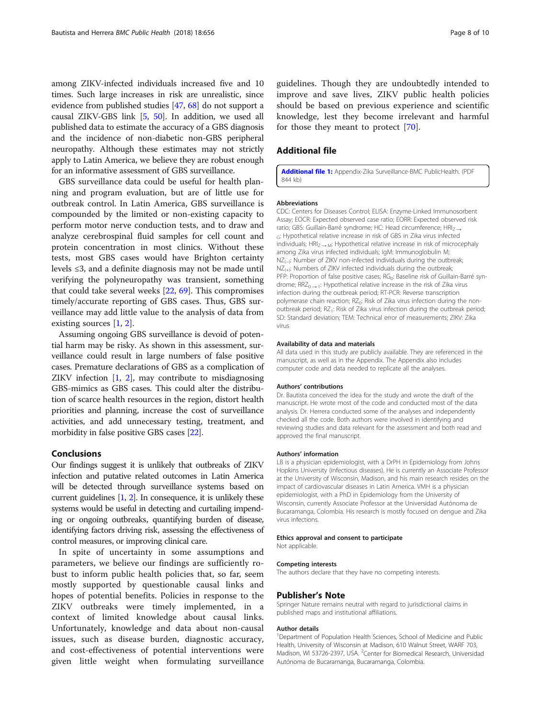<span id="page-7-0"></span>among ZIKV-infected individuals increased five and 10 times. Such large increases in risk are unrealistic, since evidence from published studies [\[47,](#page-8-0) [68\]](#page-9-0) do not support a causal ZIKV-GBS link [\[5](#page-8-0), [50\]](#page-9-0). In addition, we used all published data to estimate the accuracy of a GBS diagnosis and the incidence of non-diabetic non-GBS peripheral neuropathy. Although these estimates may not strictly apply to Latin America, we believe they are robust enough for an informative assessment of GBS surveillance.

GBS surveillance data could be useful for health planning and program evaluation, but are of little use for outbreak control. In Latin America, GBS surveillance is compounded by the limited or non-existing capacity to perform motor nerve conduction tests, and to draw and analyze cerebrospinal fluid samples for cell count and protein concentration in most clinics. Without these tests, most GBS cases would have Brighton certainty levels ≤3, and a definite diagnosis may not be made until verifying the polyneuropathy was transient, something that could take several weeks [\[22](#page-8-0), [69\]](#page-9-0). This compromises timely/accurate reporting of GBS cases. Thus, GBS surveillance may add little value to the analysis of data from existing sources [[1](#page-8-0), [2\]](#page-8-0).

Assuming ongoing GBS surveillance is devoid of potential harm may be risky. As shown in this assessment, surveillance could result in large numbers of false positive cases. Premature declarations of GBS as a complication of ZIKV infection [[1,](#page-8-0) [2](#page-8-0)], may contribute to misdiagnosing GBS-mimics as GBS cases. This could alter the distribution of scarce health resources in the region, distort health priorities and planning, increase the cost of surveillance activities, and add unnecessary testing, treatment, and morbidity in false positive GBS cases [\[22\]](#page-8-0).

#### Conclusions

Our findings suggest it is unlikely that outbreaks of ZIKV infection and putative related outcomes in Latin America will be detected through surveillance systems based on current guidelines [\[1](#page-8-0), [2\]](#page-8-0). In consequence, it is unlikely these systems would be useful in detecting and curtailing impending or ongoing outbreaks, quantifying burden of disease, identifying factors driving risk, assessing the effectiveness of control measures, or improving clinical care.

In spite of uncertainty in some assumptions and parameters, we believe our findings are sufficiently robust to inform public health policies that, so far, seem mostly supported by questionable causal links and hopes of potential benefits. Policies in response to the ZIKV outbreaks were timely implemented, in a context of limited knowledge about causal links. Unfortunately, knowledge and data about non-causal issues, such as disease burden, diagnostic accuracy, and cost-effectiveness of potential interventions were given little weight when formulating surveillance

guidelines. Though they are undoubtedly intended to improve and save lives, ZIKV public health policies should be based on previous experience and scientific knowledge, lest they become irrelevant and harmful for those they meant to protect [[70\]](#page-9-0).

# Additional file

[Additional file 1:](https://doi.org/10.1186/s12889-018-5566-7) Appendix-Zika Surveillance-BMC PublicHealth. (PDF 844 kb)

#### Abbreviations

CDC: Centers for Diseases Control; ELISA: Enzyme-Linked Immunosorbent Assay; EOCR: Expected observed case ratio; EORR: Expected observed risk ratio; GBS: Guillain-Barré syndrome; HC: Head circumference; HRI<sub>Z→</sub> <sub>G</sub>: Hypothetical relative increase in risk of GBS in Zika virus infected individuals;  $HRI_{7\rightarrow M}$ : Hypothetical relative increase in risk of microcephaly among Zika virus infected individuals; IgM: Immunoglobulin M; NZ<sub>(-)</sub>: Number of ZIKV non-infected individuals during the outbreak;  $NZ_{(+)}.$  Numbers of ZIKV infected individuals during the outbreak; PFP: Proportion of false positive cases; RG<sub>0</sub>: Baseline risk of Guillain-Barré syndrome;  $RRZ_{0\rightarrow 1}$ : Hypothetical relative increase in the risk of Zika virus infection during the outbreak period; RT-PCR: Reverse transcription polymerase chain reaction; RZ<sub>0</sub>: Risk of Zika virus infection during the nonoutbreak period; RZ<sub>1</sub>: Risk of Zika virus infection during the outbreak period; SD: Standard deviation; TEM: Technical error of measurements; ZIKV: Zika virus

#### Availability of data and materials

All data used in this study are publicly available. They are referenced in the manuscript, as well as in the Appendix. The Appendix also includes computer code and data needed to replicate all the analyses.

#### Authors' contributions

Dr. Bautista conceived the idea for the study and wrote the draft of the manuscript. He wrote most of the code and conducted most of the data analysis. Dr. Herrera conducted some of the analyses and independently checked all the code. Both authors were involved in identifying and reviewing studies and data relevant for the assessment and both read and approved the final manuscript.

#### Authors' information

LB is a physician epidemiologist, with a DrPH in Epidemiology from Johns Hopkins University (infectious diseases). He is currently an Associate Professor at the University of Wisconsin, Madison, and his main research resides on the impact of cardiovascular diseases in Latin America. VMH is a physician epidemiologist, with a PhD in Epidemiology from the University of Wisconsin, currently Associate Professor at the Universidad Autónoma de Bucaramanga, Colombia. His research is mostly focused on dengue and Zika virus infections.

# Ethics approval and consent to participate

Not applicable.

#### Competing interests

The authors declare that they have no competing interests.

#### Publisher's Note

Springer Nature remains neutral with regard to jurisdictional claims in published maps and institutional affiliations.

#### Author details

<sup>1</sup>Department of Population Health Sciences, School of Medicine and Public Health, University of Wisconsin at Madison, 610 Walnut Street, WARF 703, Madison, WI 53726-2397, USA. <sup>2</sup> Center for Biomedical Research, Universidad Autónoma de Bucaramanga, Bucaramanga, Colombia.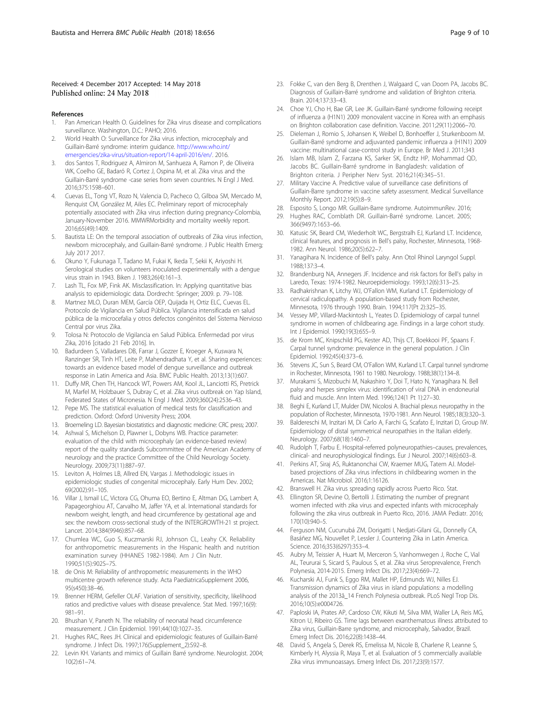### <span id="page-8-0"></span>Received: 4 December 2017 Accepted: 14 May 2018 Published online: 24 May 2018

#### References

- 1. Pan American Health O. Guidelines for Zika virus disease and complications surveillance. Washington, D.C.: PAHO; 2016.
- 2. World Health O: Surveillance for Zika virus infection, microcephaly and Guillain-Barré syndrome: interim guidance. [http://www.who.int/](http://www.who.int/emergencies/zika-virus/situation-report/14-april-2016/en/) [emergencies/zika-virus/situation-report/14-april-2016/en/.](http://www.who.int/emergencies/zika-virus/situation-report/14-april-2016/en/) 2016.
- 3. dos Santos T, Rodriguez A, Almiron M, Sanhueza A, Ramon P, de Oliveira WK, Coelho GE, Badaró R, Cortez J, Ospina M, et al. Zika virus and the Guillain-Barré syndrome -case series from seven countries. N Engl J Med. 2016;375:1598–601.
- 4. Cuevas EL, Tong VT, Rozo N, Valencia D, Pacheco O, Gilboa SM, Mercado M, Renquist CM, González M, Ailes EC. Preliminary report of microcephaly potentially associated with Zika virus infection during pregnancy-Colombia, January-November 2016. MMWRMorbidity and mortality weekly report. 2016;65(49):1409.
- 5. Bautista LE: On the temporal association of outbreaks of Zika virus infection, newborn microcephaly, and Guillain-Barré syndrome. J Public Health Emerg; July 2017 2017.
- 6. Okuno Y, Fukunaga T, Tadano M, Fukai K, Ikeda T, Sekii K, Ariyoshi H. Serological studies on volunteers inoculated experimentally with a dengue virus strain in 1943. Biken J. 1983;26(4):161–3.
- 7. Lash TL, Fox MP, Fink AK. Misclassification. In: Applying quantitative bias analysis to epidemiologic data. Dordrecht: Springer; 2009. p. 79–108.
- 8. Martnez MLO, Duran MEM, García OEP, Quijada H, Ortiz ELC, Cuevas EL. Protocolo de Vigilancia en Salud Pública. Vigilancia intensificada en salud pública de la microcefalia y otros defectos congénitos del Sistema Nervioso Central por virus Zika.
- 9. Tolosa N: Protocolo de Vigilancia en Salud Pública. Enfermedad por virus Zika, 2016 [citado 21 Feb 2016]. In.
- 10. Badurdeen S, Valladares DB, Farrar J, Gozzer E, Kroeger A, Kuswara N, Ranzinger SR, Tinh HT, Leite P, Mahendradhata Y, et al. Sharing experiences: towards an evidence based model of dengue surveillance and outbreak response in Latin America and Asia. BMC Public Health. 2013;13(1):607.
- 11. Duffy MR, Chen TH, Hancock WT, Powers AM, Kool JL, Lanciotti RS, Pretrick M, Marfel M, Holzbauer S, Dubray C, et al. Zika virus outbreak on Yap Island, Federated States of Micronesia. N Engl J Med. 2009;360(24):2536–43.
- 12. Pepe MS. The statistical evaluation of medical tests for classification and prediction. Oxford: Oxford University Press; 2004.
- 13. Broemeling LD. Bayesian biostatistics and diagnostic medicine: CRC press; 2007.
- 14. Ashwal S, Michelson D, Plawner L, Dobyns WB. Practice parameter: evaluation of the child with microcephaly (an evidence-based review) report of the quality standards Subcommittee of the American Academy of neurology and the practice Committee of the Child Neurology Society. Neurology. 2009;73(11):887–97.
- 15. Leviton A, Holmes LB, Allred EN, Vargas J. Methodologic issues in epidemiologic studies of congenital microcephaly. Early Hum Dev. 2002; 69(2002):91–105.
- 16. Villar J, Ismail LC, Victora CG, Ohuma EO, Bertino E, Altman DG, Lambert A, Papageorghiou AT, Carvalho M, Jaffer YA, et al. International standards for newborn weight, length, and head circumference by gestational age and sex: the newborn cross-sectional study of the INTERGROWTH-21 st project. Lancet. 2014;384(9946):857–68.
- 17. Chumlea WC, Guo S, Kuczmarski RJ, Johnson CL, Leahy CK. Reliability for anthropometric measurements in the Hispanic health and nutrition examination survey (HHANES 1982-1984). Am J Clin Nutr. 1990;51(5):902S–7S.
- 18. de Onis M: Reliability of anthropometric measurements in the WHO multicentre growth reference study. Acta PaediatricaSupplement 2006, 95(s450):38–46.
- 19. Brenner HERM, Gefeller OLAF. Variation of sensitivity, specificity, likelihood ratios and predictive values with disease prevalence. Stat Med. 1997;16(9): 981–91.
- 20. Bhushan V, Paneth N. The reliability of neonatal head circumference measurement. J Clin Epidemiol. 1991;44(10):1027–35.
- 21. Hughes RAC, Rees JH. Clinical and epidemiologic features of Guillain-Barré syndrome. J Infect Dis. 1997;176(Supplement\_2):S92–8.
- 22. Levin KH. Variants and mimics of Guillain Barré syndrome. Neurologist. 2004; 10(2):61–74.
- 23. Fokke C, van den Berg B, Drenthen J, Walgaard C, van Doorn PA, Jacobs BC. Diagnosis of Guillain-Barré syndrome and validation of Brighton criteria. Brain. 2014;137:33–43.
- 24. Choe YJ, Cho H, Bae GR, Lee JK. Guillain-Barré syndrome following receipt of influenza a (H1N1) 2009 monovalent vaccine in Korea with an emphasis on Brighton collaboration case definition. Vaccine. 2011;29(11):2066–70.
- 25. Dieleman J, Romio S, Johansen K, Weibel D, Bonhoeffer J, Sturkenboom M. Guillain-Barré syndrome and adjuvanted pandemic influenza a (H1N1) 2009 vaccine: multinational case-control study in Europe. Br Med J. 2011;343
- 26. Islam MB, Islam Z, Farzana KS, Sarker SK, Endtz HP, Mohammad QD, Jacobs BC. Guillain-Barré syndrome in Bangladesh: validation of Brighton criteria. J Peripher Nerv Syst. 2016;21(4):345–51.
- 27. Military Vaccine A. Predictive value of surveillance case definitions of Guillain-Barre syndrome in vaccine safety assessment. Medical Surveillance Monthly Report. 2012;19(5):8–9.
- 28. Esposito S, Longo MR. Guillain-Barre syndrome. AutoimmunRev. 2016;
- 29. Hughes RAC, Cornblath DR. Guillain-Barré syndrome. Lancet. 2005; 366(9497):1653–66.
- 30. Katusic SK, Beard CM, Wiederholt WC, Bergstralh EJ, Kurland LT. Incidence, clinical features, and prognosis in Bell's palsy, Rochester, Minnesota, 1968- 1982. Ann Neurol. 1986;20(5):622–7.
- 31. Yanagihara N. Incidence of Bell's palsy. Ann Otol Rhinol Laryngol Suppl. 1988;137:3–4.
- 32. Brandenburg NA, Annegers JF. Incidence and risk factors for Bell's palsy in Laredo, Texas: 1974-1982. Neuroepidemiology. 1993;12(6):313–25.
- 33. Radhakrishnan K, Litchy WJ, O'Fallon WM, Kurland LT. Epidemiology of cervical radiculopathy. A population-based study from Rochester, Minnesota, 1976 through 1990. Brain. 1994;117(Pt 2):325–35.
- 34. Vessey MP, Villard-Mackintosh L, Yeates D. Epidemiology of carpal tunnel syndrome in women of childbearing age. Findings in a large cohort study. Int J Epidemiol. 1990;19(3):655–9.
- 35. de Krom MC, Knipschild PG, Kester AD, Thijs CT, Boekkooi PF, Spaans F. Carpal tunnel syndrome: prevalence in the general population. J Clin Epidemiol. 1992;45(4):373–6.
- 36. Stevens JC, Sun S, Beard CM, O'Fallon WM, Kurland LT. Carpal tunnel syndrome in Rochester, Minnesota, 1961 to 1980. Neurology. 1988;38(1):134–8.
- 37. Murakami S, Mizobuchi M, Nakashiro Y, Doi T, Hato N, Yanagihara N. Bell palsy and herpes simplex virus: identification of viral DNA in endoneurial fluid and muscle. Ann Intern Med. 1996;124(1 Pt 1):27–30.
- Beghi E, Kurland LT, Mulder DW, Nicolosi A. Brachial plexus neuropathy in the population of Rochester, Minnesota, 1970-1981. Ann Neurol. 1985;18(3):320–3.
- 39. Baldereschi M, Inzitari M, Di Carlo A, Farchi G, Scafato E, Inzitari D, Group IW. Epidemiology of distal symmetrical neuropathies in the Italian elderly. Neurology. 2007;68(18):1460–7.
- 40. Rudolph T, Farbu E. Hospital-referred polyneuropathies–causes, prevalences, clinical- and neurophysiological findings. Eur J Neurol. 2007;14(6):603–8.
- 41. Perkins AT, Siraj AS, Ruktanonchai CW, Kraemer MUG, Tatem AJ. Modelbased projections of Zika virus infections in childbearing women in the Americas. Nat Microbiol. 2016;1:16126.
- 42. Branswell H. Zika virus spreading rapidly across Puerto Rico. Stat.
- 43. Ellington SR, Devine O, Bertolli J. Estimating the number of pregnant women infected with zika virus and expected infants with microcephaly following the zika virus outbreak in Puerto Rico, 2016. JAMA Pediatr. 2016; 170(10):940–5.
- 44. Ferguson NM, Cucunubá ZM, Dorigatti I, Nedjati-Gilani GL, Donnelly CA, Basáñez MG, Nouvellet P, Lessler J. Countering Zika in Latin America. Science. 2016;353(6297):353–4.
- 45. Aubry M, Teissier A, Huart M, Merceron S, Vanhomwegen J, Roche C, Vial AL, Teururai S, Sicard S, Paulous S, et al. Zika virus Seroprevalence, French Polynesia, 2014-2015. Emerg Infect Dis. 2017;23(4):669–72.
- 46. Kucharski AJ, Funk S, Eggo RM, Mallet HP, Edmunds WJ, Nilles EJ. Transmission dynamics of Zika virus in island populations: a modelling analysis of the 2013â\_14 French Polynesia outbreak. PLoS Negl Trop Dis. 2016;10(5):e0004726.
- 47. Paploski IA, Prates AP, Cardoso CW, Kikuti M, Silva MM, Waller LA, Reis MG, Kitron U, Ribeiro GS. Time lags between exanthematous illness attributed to Zika virus, Guillain-Barre syndrome, and microcephaly, Salvador, Brazil. Emerg Infect Dis. 2016;22(8):1438–44.
- 48. David S, Angela S, Derek RS, Emelissa M, Nicole B, Charlene R, Leanne S, Kimberly H, Alyssia R, Maya T, et al. Evaluation of 5 commercially available Zika virus immunoassays. Emerg Infect Dis. 2017;23(9):1577.